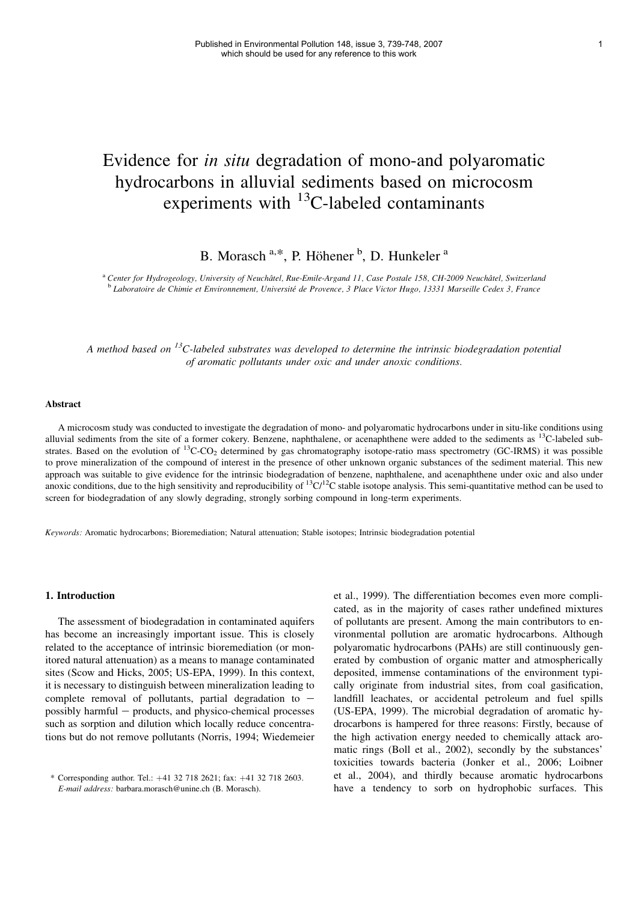# Evidence for in situ degradation of mono-and polyaromatic hydrocarbons in alluvial sediments based on microcosm experiments with  $^{13}$ C-labeled contaminants

B. Morasch<sup>a,\*</sup>, P. Höhener<sup>b</sup>, D. Hunkeler<sup>a</sup>

a Center for Hydrogeology, University of Neuchâtel, Rue-Emile-Argand 11, Case Postale 158, CH-2009 Neuchâtel, Switzerland<br>b Laboratoire de Chimie et Environnement. Université de Provence. 3 Place Victor Hugo. 13331 Marseil

A method based on  $^{13}$ C-labeled substrates was developed to determine the intrinsic biodegradation potential of aromatic pollutants under oxic and under anoxic conditions.

### **Abstract**

A microcosm study was conducted to investigate the degradation of mono- and polyaromatic hydrocarbons under in situ-like conditions using alluvial sediments from the site of a former cokery. Benzene, naphthalene, or acenaphthene were added to the sediments as  $^{13}$ C-labeled substrates. Based on the evolution of <sup>13</sup>C-CO<sub>2</sub> determined by gas chromatography isotope-ratio mass spectrometry (GC-IRMS) it was possible to prove mineralization of the compound of interest in the presence of other unknown organic substances of the sediment material. This new approach was suitable to give evidence for the intrinsic biodegradation of benzene, naphthalene, and acenaphthene under oxic and also under anoxic conditions, due to the high sensitivity and reproducibility of  ${}^{13}C/{}^{12}C$  stable isotope analysis. This semi-quantitative method can be used to screen for biodegradation of any slowly degrading, strongly sorbing compound in long-term experiments.

Keywords: Aromatic hydrocarbons; Bioremediation; Natural attenuation; Stable isotopes; Intrinsic biodegradation potential

#### 1. Introduction

The assessment of biodegradation in contaminated aquifers has become an increasingly important issue. This is closely related to the acceptance of intrinsic bioremediation (or monitored natural attenuation) as a means to manage contaminated sites (Scow and Hicks, 2005; US-EPA, 1999). In this context, it is necessary to distinguish between mineralization leading to complete removal of pollutants, partial degradation to  $$ possibly harmful  $-$  products, and physico-chemical processes such as sorption and dilution which locally reduce concentrations but do not remove pollutants (Norris, 1994; Wiedemeier

et al., 1999). The differentiation becomes even more complicated, as in the majority of cases rather undefined mixtures of pollutants are present. Among the main contributors to environmental pollution are aromatic hydrocarbons. Although polyaromatic hydrocarbons (PAHs) are still continuously generated by combustion of organic matter and atmospherically deposited, immense contaminations of the environment typically originate from industrial sites, from coal gasification, landfill leachates, or accidental petroleum and fuel spills (US-EPA, 1999). The microbial degradation of aromatic hydrocarbons is hampered for three reasons: Firstly, because of the high activation energy needed to chemically attack aromatic rings (Boll et al., 2002), secondly by the substances' toxicities towards bacteria (Jonker et al., 2006; Loibner et al., 2004), and thirdly because aromatic hydrocarbons \* Corresponding author. Tel.: +41 32 718 2621; fax: +41 32 718 2603. et al., 2004), and thirdly because aromatic hydrocarbons E-mail address: barbara.morasch@unine.ch (B. Morasch). have a tendency to sorb on hydrophobic s

E-mail address: barbara.morasch@unine.ch (B. Morasch).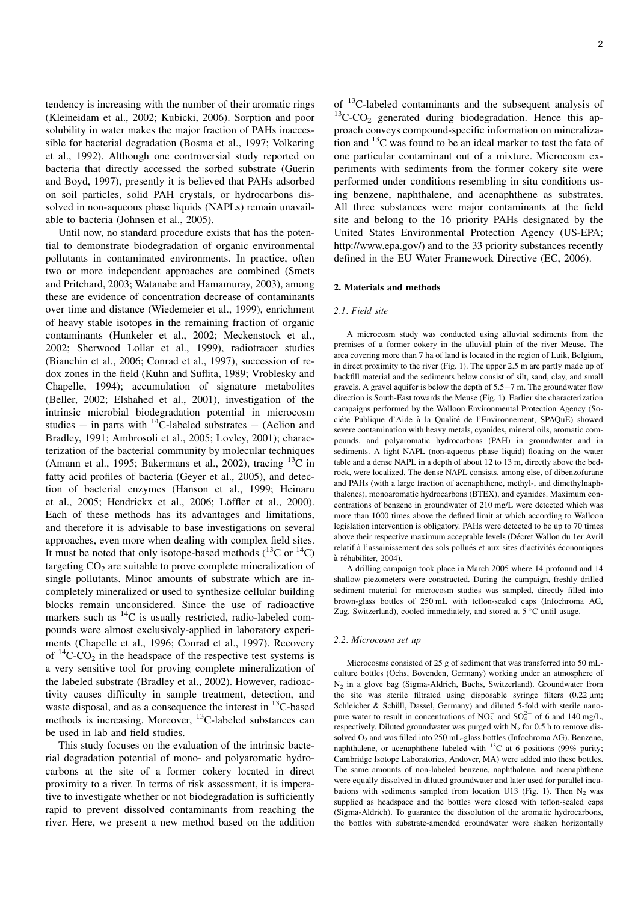tendency is increasing with the number of their aromatic rings (Kleineidam et al., 2002; Kubicki, 2006). Sorption and poor solubility in water makes the major fraction of PAHs inaccessible for bacterial degradation (Bosma et al., 1997; Volkering et al., 1992). Although one controversial study reported on bacteria that directly accessed the sorbed substrate (Guerin and Boyd, 1997), presently it is believed that PAHs adsorbed on soil particles, solid PAH crystals, or hydrocarbons dissolved in non-aqueous phase liquids (NAPLs) remain unavailable to bacteria (Johnsen et al., 2005).

Until now, no standard procedure exists that has the potential to demonstrate biodegradation of organic environmental pollutants in contaminated environments. In practice, often two or more independent approaches are combined (Smets and Pritchard, 2003; Watanabe and Hamamuray, 2003), among these are evidence of concentration decrease of contaminants over time and distance (Wiedemeier et al., 1999), enrichment of heavy stable isotopes in the remaining fraction of organic contaminants (Hunkeler et al., 2002; Meckenstock et al., 2002; Sherwood Lollar et al., 1999), radiotracer studies (Bianchin et al., 2006; Conrad et al., 1997), succession of redox zones in the field (Kuhn and Suflita, 1989; Vroblesky and Chapelle, 1994); accumulation of signature metabolites (Beller, 2002; Elshahed et al., 2001), investigation of the intrinsic microbial biodegradation potential in microcosm studies – in parts with <sup>14</sup>C-labeled substrates – (Aelion and Bradley, 1991; Ambrosoli et al., 2005; Lovley, 2001); characterization of the bacterial community by molecular techniques (Amann et al., 1995; Bakermans et al., 2002), tracing  $^{13}$ C in fatty acid profiles of bacteria (Geyer et al., 2005), and detection of bacterial enzymes (Hanson et al., 1999; Heinaru et al., 2005; Hendrickx et al., 2006; Löffler et al., 2000). Each of these methods has its advantages and limitations, and therefore it is advisable to base investigations on several approaches, even more when dealing with complex field sites. It must be noted that only isotope-based methods  $(^{13}C$  or  $^{14}C)$ targeting  $CO<sub>2</sub>$  are suitable to prove complete mineralization of single pollutants. Minor amounts of substrate which are incompletely mineralized or used to synthesize cellular building blocks remain unconsidered. Since the use of radioactive markers such as 14C is usually restricted, radio-labeled compounds were almost exclusively-applied in laboratory experiments (Chapelle et al., 1996; Conrad et al., 1997). Recovery of  ${}^{14}C$ -CO<sub>2</sub> in the headspace of the respective test systems is a very sensitive tool for proving complete mineralization of the labeled substrate (Bradley et al., 2002). However, radioactivity causes difficulty in sample treatment, detection, and waste disposal, and as a consequence the interest in  $^{13}$ C-based methods is increasing. Moreover, <sup>13</sup>C-labeled substances can be used in lab and field studies.

This study focuses on the evaluation of the intrinsic bacterial degradation potential of mono- and polyaromatic hydrocarbons at the site of a former cokery located in direct proximity to a river. In terms of risk assessment, it is imperative to investigate whether or not biodegradation is sufficiently rapid to prevent dissolved contaminants from reaching the river. Here, we present a new method based on the addition of  $^{13}$ C-labeled contaminants and the subsequent analysis of  $^{13}$ C-CO<sub>2</sub> generated during biodegradation. Hence this approach conveys compound-specific information on mineralization and 13C was found to be an ideal marker to test the fate of one particular contaminant out of a mixture. Microcosm experiments with sediments from the former cokery site were performed under conditions resembling in situ conditions using benzene, naphthalene, and acenaphthene as substrates. All three substances were major contaminants at the field site and belong to the 16 priority PAHs designated by the United States Environmental Protection Agency (US-EPA; http://www.epa.gov/) and to the 33 priority substances recently defined in the EU Water Framework Directive (EC, 2006).

### 2. Materials and methods

### 2.1. Field site

A microcosm study was conducted using alluvial sediments from the premises of a former cokery in the alluvial plain of the river Meuse. The area covering more than 7 ha of land is located in the region of Luik, Belgium, in direct proximity to the river (Fig. 1). The upper 2.5 m are partly made up of backfill material and the sediments below consist of silt, sand, clay, and small gravels. A gravel aquifer is below the depth of  $5.5-7$  m. The groundwater flow direction is South-East towards the Meuse (Fig. 1). Earlier site characterization campaigns performed by the Walloon Environmental Protection Agency (Sociéte Publique d'Aide à la Qualité de l'Environnement, SPAQuE) showed severe contamination with heavy metals, cyanides, mineral oils, aromatic compounds, and polyaromatic hydrocarbons (PAH) in groundwater and in sediments. A light NAPL (non-aqueous phase liquid) floating on the water table and a dense NAPL in a depth of about 12 to 13 m, directly above the bedrock, were localized. The dense NAPL consists, among else, of dibenzofurane and PAHs (with a large fraction of acenaphthene, methyl-, and dimethylnaphthalenes), monoaromatic hydrocarbons (BTEX), and cyanides. Maximum concentrations of benzene in groundwater of 210 mg/L were detected which was more than 1000 times above the defined limit at which according to Walloon legislation intervention is obligatory. PAHs were detected to be up to 70 times above their respective maximum acceptable levels (Décret Wallon du 1er Avril relatif à l'assainissement des sols pollués et aux sites d'activités économiques à réhabiliter, 2004).

A drilling campaign took place in March 2005 where 14 profound and 14 shallow piezometers were constructed. During the campaign, freshly drilled sediment material for microcosm studies was sampled, directly filled into brown-glass bottles of 250 mL with teflon-sealed caps (Infochroma AG, Zug, Switzerland), cooled immediately, and stored at  $5^{\circ}$ C until usage.

#### 2.2. Microcosm set up

Microcosms consisted of 25 g of sediment that was transferred into 50 mLculture bottles (Ochs, Bovenden, Germany) working under an atmosphere of N2 in a glove bag (Sigma-Aldrich, Buchs, Switzerland). Groundwater from the site was sterile filtrated using disposable syringe filters  $(0.22 \mu m)$ ; Schleicher & Schüll, Dassel, Germany) and diluted 5-fold with sterile nanopure water to result in concentrations of  $NO_3^-$  and  $SO_4^{2-}$  of 6 and 140 mg/L, respectively. Diluted groundwater was purged with  $N_2$  for 0.5 h to remove dissolved  $O_2$  and was filled into 250 mL-glass bottles (Infochroma AG). Benzene, naphthalene, or acenaphthene labeled with  $^{13}$ C at 6 positions (99% purity; Cambridge Isotope Laboratories, Andover, MA) were added into these bottles. The same amounts of non-labeled benzene, naphthalene, and acenaphthene were equally dissolved in diluted groundwater and later used for parallel incubations with sediments sampled from location U13 (Fig. 1). Then  $N_2$  was supplied as headspace and the bottles were closed with teflon-sealed caps (Sigma-Aldrich). To guarantee the dissolution of the aromatic hydrocarbons, the bottles with substrate-amended groundwater were shaken horizontally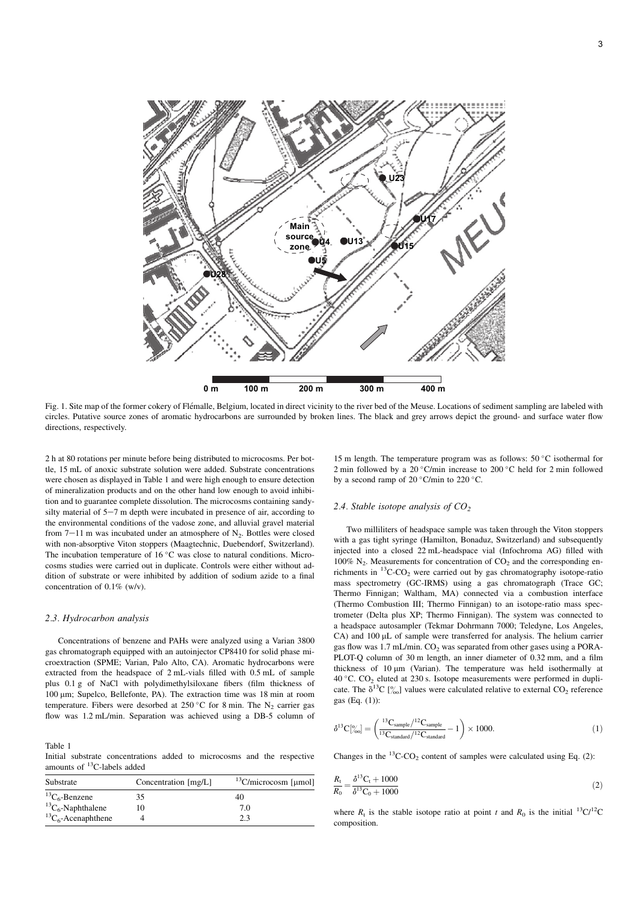

Fig. 1. Site map of the former cokery of Flémalle, Belgium, located in direct vicinity to the river bed of the Meuse. Locations of sediment sampling are labeled with circles. Putative source zones of aromatic hydrocarbons are surrounded by broken lines. The black and grey arrows depict the ground- and surface water flow directions, respectively.

2 h at 80 rotations per minute before being distributed to microcosms. Per bottle, 15 mL of anoxic substrate solution were added. Substrate concentrations were chosen as displayed in Table 1 and were high enough to ensure detection of mineralization products and on the other hand low enough to avoid inhibition and to guarantee complete dissolution. The microcosms containing sandysilty material of  $5-7$  m depth were incubated in presence of air, according to the environmental conditions of the vadose zone, and alluvial gravel material from  $7-11$  m was incubated under an atmosphere of  $N_2$ . Bottles were closed with non-absorptive Viton stoppers (Maagtechnic, Duebendorf, Switzerland). The incubation temperature of  $16\,^{\circ}\text{C}$  was close to natural conditions. Microcosms studies were carried out in duplicate. Controls were either without addition of substrate or were inhibited by addition of sodium azide to a final concentration of 0.1% (w/v).

#### 2.3. Hydrocarbon analysis

Concentrations of benzene and PAHs were analyzed using a Varian 3800 gas chromatograph equipped with an autoinjector CP8410 for solid phase microextraction (SPME; Varian, Palo Alto, CA). Aromatic hydrocarbons were extracted from the headspace of 2 mL-vials filled with 0.5 mL of sample plus 0.1 g of NaCl with polydimethylsiloxane fibers (film thickness of 100 mm; Supelco, Bellefonte, PA). The extraction time was 18 min at room temperature. Fibers were desorbed at 250 °C for 8 min. The  $N_2$  carrier gas flow was 1.2 mL/min. Separation was achieved using a DB-5 column of

Table 1 Initial substrate concentrations added to microcosms and the respective amounts of 13C-labels added

| Substrate                  | Concentration [mg/L] | $13$ C/microcosm [µmol] |  |  |  |
|----------------------------|----------------------|-------------------------|--|--|--|
| ${}^{13}C_6$ -Benzene      | 35                   | 40                      |  |  |  |
| ${}^{13}C_6$ -Naphthalene  | 10                   | 70                      |  |  |  |
| ${}^{13}C_6$ -Acenaphthene |                      | 2.3                     |  |  |  |

15 m length. The temperature program was as follows:  $50 °C$  isothermal for 2 min followed by a 20 $\degree$ C/min increase to 200 $\degree$ C held for 2 min followed by a second ramp of 20  $^{\circ}$ C/min to 220  $^{\circ}$ C.

#### 2.4. Stable isotope analysis of  $CO<sub>2</sub>$

Two milliliters of headspace sample was taken through the Viton stoppers with a gas tight syringe (Hamilton, Bonaduz, Switzerland) and subsequently injected into a closed 22 mL-headspace vial (Infochroma AG) filled with 100%  $N_2$ . Measurements for concentration of  $CO_2$  and the corresponding enrichments in  ${}^{13}$ C-CO<sub>2</sub> were carried out by gas chromatography isotope-ratio mass spectrometry (GC-IRMS) using a gas chromatograph (Trace GC; Thermo Finnigan; Waltham, MA) connected via a combustion interface (Thermo Combustion III; Thermo Finnigan) to an isotope-ratio mass spectrometer (Delta plus XP; Thermo Finnigan). The system was connected to a headspace autosampler (Tekmar Dohrmann 7000; Teledyne, Los Angeles, CA) and 100 µL of sample were transferred for analysis. The helium carrier gas flow was 1.7 mL/min.  $CO<sub>2</sub>$  was separated from other gases using a PORA-PLOT-Q column of 30 m length, an inner diameter of 0.32 mm, and a film thickness of  $10 \mu m$  (Varian). The temperature was held isothermally at 40 °C.  $CO_2$  eluted at 230 s. Isotope measurements were performed in duplicate. The  $\delta^{13}C$  [%] values were calculated relative to external CO<sub>2</sub> reference gas (Eq. (1)):

$$
\delta^{13}C^{[\circ]}_{\text{(oo]}} = \left(\frac{^{13}C_{\text{sample}}/^{12}C_{\text{sample}}}{^{13}C_{\text{standard}}/^{12}C_{\text{standard}}} - 1\right) \times 1000. \tag{1}
$$

Changes in the  ${}^{13}$ C-CO<sub>2</sub> content of samples were calculated using Eq. (2):

$$
\frac{R_{\rm t}}{R_{\rm 0}} = \frac{\delta^{13}C_{\rm t} + 1000}{\delta^{13}C_{\rm 0} + 1000} \tag{2}
$$

where  $R_t$  is the stable isotope ratio at point t and  $R_0$  is the initial <sup>13</sup>C/<sup>12</sup>C composition.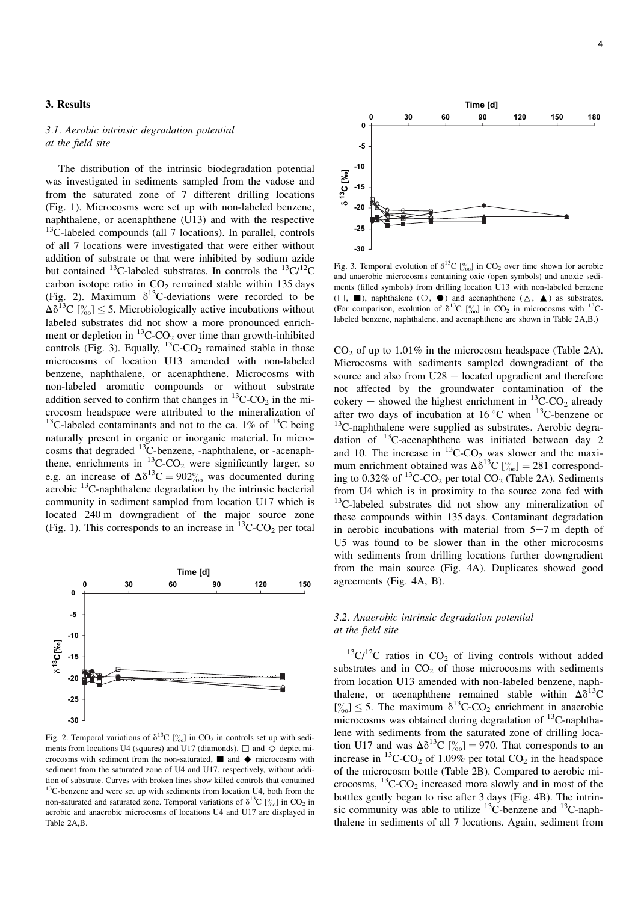### 3. Results

### 3.1. Aerobic intrinsic degradation potential at the field site

The distribution of the intrinsic biodegradation potential was investigated in sediments sampled from the vadose and from the saturated zone of 7 different drilling locations (Fig. 1). Microcosms were set up with non-labeled benzene, naphthalene, or acenaphthene (U13) and with the respective  $13C$ -labeled compounds (all 7 locations). In parallel, controls of all 7 locations were investigated that were either without addition of substrate or that were inhibited by sodium azide but contained <sup>13</sup>C-labeled substrates. In controls the <sup>13</sup>C/<sup>12</sup>C carbon isotope ratio in  $CO<sub>2</sub>$  remained stable within 135 days (Fig. 2). Maximum  $\delta^{13}$ C-deviations were recorded to be  $\Delta\delta^{13}C$  [\%\left{\left(\)} \sum S\_ 5. Microbiologically active incubations without labeled substrates did not show a more pronounced enrichment or depletion in  ${}^{13}$ C-CO<sub>2</sub> over time than growth-inhibited controls (Fig. 3). Equally,  $^{13}$ C-CO<sub>2</sub> remained stable in those microcosms of location U13 amended with non-labeled benzene, naphthalene, or acenaphthene. Microcosms with non-labeled aromatic compounds or without substrate addition served to confirm that changes in  ${}^{13}$ C-CO<sub>2</sub> in the microcosm headspace were attributed to the mineralization of <sup>13</sup>C-labeled contaminants and not to the ca. 1% of <sup>13</sup>C being naturally present in organic or inorganic material. In microcosms that degraded  $^{13}$ C-benzene, -naphthalene, or -acenaphthene, enrichments in  ${}^{13}$ C-CO<sub>2</sub> were significantly larger, so e.g. an increase of  $\Delta \delta^{13}C = 902\%$  was documented during aerobic  $^{13}$ C-naphthalene degradation by the intrinsic bacterial community in sediment sampled from location U17 which is located 240 m downgradient of the major source zone (Fig. 1). This corresponds to an increase in  ${}^{13}$ C-CO<sub>2</sub> per total



Fig. 2. Temporal variations of  $\delta^{13}C$  [%] in CO<sub>2</sub> in controls set up with sediments from locations U4 (squares) and U17 (diamonds).  $\Box$  and  $\diamondsuit$  depict microcosms with sediment from the non-saturated,  $\blacksquare$  and  $\blacklozenge$  microcosms with sediment from the saturated zone of U4 and U17, respectively, without addition of substrate. Curves with broken lines show killed controls that contained 13C-benzene and were set up with sediments from location U4, both from the non-saturated and saturated zone. Temporal variations of  $\delta^{13}C$  [ $\%$ <sub>00</sub>] in CO<sub>2</sub> in aerobic and anaerobic microcosms of locations U4 and U17 are displayed in Table 2A,B.



Fig. 3. Temporal evolution of  $\delta^{13}C$  [ $\%$ <sub>0</sub>] in CO<sub>2</sub> over time shown for aerobic and anaerobic microcosms containing oxic (open symbols) and anoxic sediments (filled symbols) from drilling location U13 with non-labeled benzene  $(\Box, \blacksquare)$ , naphthalene  $(\bigcirc, \blacklozenge)$  and acenaphthene  $(\triangle, \blacktriangle)$  as substrates. (For comparison, evolution of  $\delta^{13}C$  [%] in CO<sub>2</sub> in microcosms with <sup>13</sup>Clabeled benzene, naphthalene, and acenaphthene are shown in Table 2A,B.)

 $CO<sub>2</sub>$  of up to 1.01% in the microcosm headspace (Table 2A). Microcosms with sediments sampled downgradient of the source and also from  $U28 -$  located upgradient and therefore not affected by the groundwater contamination of the cokery – showed the highest enrichment in  $^{13}$ C-CO<sub>2</sub> already after two days of incubation at  $16\,^{\circ}\text{C}$  when  $^{13}\text{C}$ -benzene or <sup>13</sup>C-naphthalene were supplied as substrates. Aerobic degradation of <sup>13</sup>C-acenaphthene was initiated between day 2 and 10. The increase in  ${}^{13}$ C-CO<sub>2</sub> was slower and the maximum enrichment obtained was  $\Delta \delta^{13}C$  [% | 281 corresponding to 0.32% of  ${}^{13}$ C-CO<sub>2</sub> per total CO<sub>2</sub> (Table 2A). Sediments from U4 which is in proximity to the source zone fed with  $13C$ -labeled substrates did not show any mineralization of these compounds within 135 days. Contaminant degradation in aerobic incubations with material from  $5-7$  m depth of U5 was found to be slower than in the other microcosms with sediments from drilling locations further downgradient from the main source (Fig. 4A). Duplicates showed good agreements (Fig. 4A, B).

### 3.2. Anaerobic intrinsic degradation potential at the field site

 $13^{\circ}C/12^{\circ}C$  ratios in CO<sub>2</sub> of living controls without added substrates and in  $CO<sub>2</sub>$  of those microcosms with sediments from location U13 amended with non-labeled benzene, naphthalene, or acenaphthene remained stable within  $\Delta\delta^{13}$ C  $[\%] \leq 5$ . The maximum  $\delta^{13}$ C-CO<sub>2</sub> enrichment in anaerobic microcosms was obtained during degradation of 13C-naphthalene with sediments from the saturated zone of drilling location U17 and was  $\Delta \delta^{13}C$  [ $\frac{\%}{\%}$ ] = 970. That corresponds to an increase in  ${}^{13}$ C-CO<sub>2</sub> of 1.09% per total CO<sub>2</sub> in the headspace of the microcosm bottle (Table 2B). Compared to aerobic microcosms,  ${}^{13}$ C-CO<sub>2</sub> increased more slowly and in most of the bottles gently began to rise after 3 days (Fig. 4B). The intrinsic community was able to utilize  $^{13}$ C-benzene and  $^{13}$ C-naphthalene in sediments of all 7 locations. Again, sediment from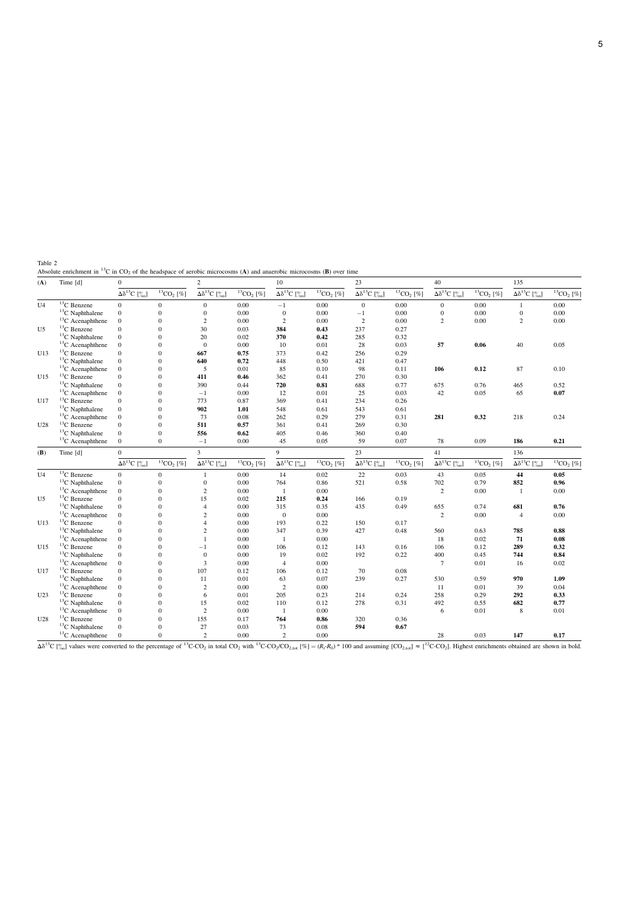Table 2<br>Absolute enrichment in <sup>13</sup>C in CO<sub>2</sub> of the headspace of aerobic microcosms (A) and anaerobic microcosms (B) over time

| (A)             | Time [d]                 | $\overline{0}$                                               |                      | $\sqrt{2}$                                   |                      | 10                                                                                 |                              | 23                                            |                          | 40                                                           |                   | 135                                           |             |
|-----------------|--------------------------|--------------------------------------------------------------|----------------------|----------------------------------------------|----------------------|------------------------------------------------------------------------------------|------------------------------|-----------------------------------------------|--------------------------|--------------------------------------------------------------|-------------------|-----------------------------------------------|-------------|
|                 |                          | $\overline{\Delta\delta^{13}}C~[\,{}^o_{\hspace{-0.5pt}00}]$ | $^{13} \rm CO_2$ [%] | $\overline{\Delta\delta^{13}}\mathrm{C}$ [%] | $^{13} \rm CO_2$ [%] | $\Delta\delta^{13}C~[\%]$                                                          | ${}^{13}CO$ <sub>2</sub> [%] | $\overline{\Delta\delta^{13}}C~[\,{}^o_{00}]$ | ${}^{13}CO_2$ [%]        | $\overline{\Delta\delta^{13}}C~[\,{}^o_{\hspace{-0.5pt}00}]$ | ${}^{13}CO_2$ [%] | $\overline{\Delta\delta^{13}}C~[\,{}^o_{00}]$ | $13CO2$ [%] |
| U4              | <sup>13</sup> C Benzene  | $\overline{0}$                                               | $\Omega$             | $\overline{0}$                               | 0.00                 | $-1$                                                                               | 0.00                         | $\mathbf{0}$                                  | 0.00                     | $\mathbf{0}$                                                 | 0.00              | $\mathbf{1}$                                  | 0.00        |
|                 | ${}^{13}C$ Naphthalene   | $\mathbf{0}$                                                 | $\Omega$             | $\overline{0}$                               | 0.00                 | $\mathbf{0}$                                                                       | 0.00                         | $-1$                                          | 0.00                     | $\mathbf{0}$                                                 | 0.00              | $\boldsymbol{0}$                              | 0.00        |
|                 | ${}^{13}$ C Acenaphthene | $\mathbf{0}$                                                 | $\Omega$             | $\overline{c}$                               | 0.00                 | $\overline{2}$                                                                     | 0.00                         | $\overline{c}$                                | 0.00                     | $\overline{c}$                                               | 0.00              | $\mathfrak{2}$                                | 0.00        |
| U5              | ${}^{13}C$ Benzene       | $\mathbf{0}$                                                 | $\Omega$             | 30                                           | 0.03                 | 384                                                                                | 0.43                         | 237                                           | 0.27                     |                                                              |                   |                                               |             |
|                 | ${}^{13}C$ Naphthalene   | $\mathbf{0}$                                                 | $\theta$             | 20                                           | 0.02                 | 370                                                                                | 0.42                         | 285                                           | 0.32                     |                                                              |                   |                                               |             |
|                 | ${}^{13}$ C Acenaphthene | $\mathbf{0}$                                                 | $\Omega$             | $\Omega$                                     | 0.00                 | 10                                                                                 | 0.01                         | 28                                            | 0.03                     | 57                                                           | 0.06              | 40                                            | 0.05        |
| U13             | ${}^{13}$ C Benzene      | $\Omega$                                                     | $\Omega$             | 667                                          | 0.75                 | 373                                                                                | 0.42                         | 256                                           | 0.29                     |                                                              |                   |                                               |             |
|                 | ${}^{13}C$ Naphthalene   | $\mathbf{0}$                                                 | $\theta$             | 640                                          | 0.72                 | 448                                                                                | 0.50                         | 421                                           | 0.47                     |                                                              |                   |                                               |             |
|                 | ${}^{13}$ C Acenaphthene | $\mathbf{0}$                                                 | $\Omega$             | 5                                            | 0.01                 | 85                                                                                 | 0.10                         | 98                                            | 0.11                     | 106                                                          | 0.12              | 87                                            | 0.10        |
| U15             | ${}^{13}C$ Benzene       | $\Omega$                                                     | $\Omega$             | 411                                          | 0.46                 | 362                                                                                | 0.41                         | 270                                           | 0.30                     |                                                              |                   |                                               |             |
|                 | ${}^{13}C$ Naphthalene   | $\mathbf{0}$                                                 | $\theta$             | 390                                          | 0.44                 | 720                                                                                | 0.81                         | 688                                           | 0.77                     | 675                                                          | 0.76              | 465                                           | 0.52        |
|                 | ${}^{13}C$ Acenaphthene  | $\mathbf{0}$                                                 | $\mathbf{0}$         | $-1$                                         | 0.00                 | 12                                                                                 | 0.01                         | 25                                            | 0.03                     | 42                                                           | 0.05              | 65                                            | 0.07        |
| U17             | ${}^{13}C$ Benzene       | $\Omega$                                                     | $\Omega$             | 773                                          | 0.87                 | 369                                                                                | 0.41                         | 234                                           | 0.26                     |                                                              |                   |                                               |             |
|                 | ${}^{13}C$ Naphthalene   | $\mathbf{0}$                                                 | $\Omega$             | 902                                          | 1.01                 | 548                                                                                | 0.61                         | 543                                           | 0.61                     |                                                              |                   |                                               |             |
|                 | ${}^{13}$ C Acenaphthene | $\mathbf{0}$                                                 | $\Omega$             | 73                                           | 0.08                 | 262                                                                                | 0.29                         | 279                                           | 0.31                     | 281                                                          | 0.32              | 218                                           | 0.24        |
| U <sub>28</sub> | ${}^{13}C$ Benzene       | $\overline{0}$                                               | $\Omega$             | 511                                          | 0.57                 | 361                                                                                | 0.41                         | 269                                           | 0.30                     |                                                              |                   |                                               |             |
|                 | ${}^{13}C$ Naphthalene   | $\mathbf{0}$                                                 | $\Omega$             | 556                                          | 0.62                 | 405                                                                                | 0.46                         | 360                                           | 0.40                     |                                                              |                   |                                               |             |
|                 | ${}^{13}$ C Acenaphthene | $\mathbf{0}$                                                 | $\Omega$             | $-1$                                         | 0.00                 | 45                                                                                 | 0.05                         | 59                                            | 0.07                     | 78                                                           | 0.09              | 186                                           | 0.21        |
| (B)             | Time [d]                 | $\Omega$                                                     |                      | $\overline{3}$                               |                      | 9                                                                                  |                              | 23                                            |                          | 41                                                           |                   | 136                                           |             |
|                 |                          | $\Delta \delta^{13} C$ [%]                                   | $13CO2$ [%]          | $\Delta \delta^{13} C$ [%]                   | $^{13} \rm CO_2$ [%] | $\overline{\Delta\delta^{13}}C~[\,{}^o_{\hspace{-0.5pt} \gamma\hspace{-0.5pt} o}]$ | $13$ CO <sub>2</sub> [%]     | $\overline{\Delta\delta^{13}}\mathrm{C}$ [%]  | $13$ CO <sub>2</sub> [%] | $\Delta \delta^{13} C$ [%]                                   | ${}^{13}CO_2$ [%] | $Δδ13C$ [%]                                   | $13CO2$ [%] |
| U <sub>4</sub>  | ${}^{13}C$ Benzene       | $\boldsymbol{0}$                                             | $\mathbf{0}$         | $\mathbf{1}$                                 | 0.00                 | 14                                                                                 | 0.02                         | 22                                            | 0.03                     | 43                                                           | 0.05              | 44                                            | 0.05        |
|                 | $13C$ Naphthalene        | $\mathbf{0}$                                                 | $\overline{0}$       | $\overline{0}$                               | 0.00                 | 764                                                                                | 0.86                         | 521                                           | 0.58                     | 702                                                          | 0.79              | 852                                           | 0.96        |
|                 | ${}^{13}$ C Acenaphthene | $\mathbf{0}$                                                 | $\Omega$             | $\overline{c}$                               | 0.00                 | $\overline{1}$                                                                     | 0.00                         |                                               |                          | $\overline{c}$                                               | 0.00              | $\mathbf{1}$                                  | 0.00        |
| U5              | <sup>13</sup> C Benzene  | $\Omega$                                                     | $\Omega$             | 15                                           | 0.02                 | 215                                                                                | 0.24                         | 166                                           | 0.19                     |                                                              |                   |                                               |             |
|                 | ${}^{13}C$ Naphthalene   | $\mathbf{0}$                                                 | $\theta$             | $\overline{4}$                               | 0.00                 | 315                                                                                | 0.35                         | 435                                           | 0.49                     | 655                                                          | 0.74              | 681                                           | 0.76        |
|                 | ${}^{13}$ C Acenaphthene | $\mathbf{0}$                                                 | $\theta$             | $\overline{c}$                               | 0.00                 | $\mathbf{0}$                                                                       | 0.00                         |                                               |                          | $\overline{c}$                                               | 0.00              | $\overline{4}$                                | 0.00        |
| U13             | ${}^{13}C$ Benzene       | $\Omega$                                                     | $\Omega$             | $\overline{4}$                               | 0.00                 | 193                                                                                | 0.22                         | 150                                           | 0.17                     |                                                              |                   |                                               |             |
|                 | $13C$ Naphthalene        | $\mathbf{0}$                                                 | $\Omega$             | $\overline{c}$                               | 0.00                 | 347                                                                                | 0.39                         | 427                                           | 0.48                     | 560                                                          | 0.63              | 785                                           | 0.88        |
|                 | ${}^{13}C$ Acenaphthene  | $\mathbf{0}$                                                 | $\Omega$             | 1                                            | 0.00                 | -1                                                                                 | 0.00                         |                                               |                          | 18                                                           | 0.02              | 71                                            | 0.08        |
| U15             | ${}^{13}$ C Benzene      | $\Omega$                                                     | $\Omega$             | $-1$                                         | 0.00                 | 106                                                                                | 0.12                         | 143                                           | 0.16                     | 106                                                          | 0.12              | 289                                           | 0.32        |
|                 | ${}^{13}C$ Naphthalene   | $\mathbf{0}$                                                 | $\Omega$             | $\mathbf{0}$                                 | 0.00                 | 19                                                                                 | 0.02                         | 192                                           | 0.22                     | 400                                                          | 0.45              | 744                                           | 0.84        |
|                 | ${}^{13}C$ Acenaphthene  | $\mathbf{0}$                                                 | $\theta$             | 3                                            | 0.00                 | $\overline{4}$                                                                     | 0.00                         |                                               |                          | $7\phantom{.0}$                                              | 0.01              | 16                                            | 0.02        |
| U17             | ${}^{13}C$ Benzene       | $\overline{0}$                                               | $\theta$             | 107                                          | 0.12                 | 106                                                                                | 0.12                         | 70                                            | 0.08                     |                                                              |                   |                                               |             |
|                 | ${}^{13}C$ Naphthalene   | $\mathbf{0}$                                                 | $\theta$             | 11                                           | 0.01                 | 63                                                                                 | 0.07                         | 239                                           | 0.27                     | 530                                                          | 0.59              | 970                                           | 1.09        |
|                 | ${}^{13}$ C Acenaphthene | $\mathbf{0}$                                                 | $\theta$             | $\overline{c}$                               | 0.00                 | 2                                                                                  | 0.00                         |                                               |                          | 11                                                           | 0.01              | 39                                            | 0.04        |
| U <sub>23</sub> | <sup>13</sup> C Benzene  | $\mathbf{0}$                                                 | $\theta$             | 6                                            | 0.01                 | 205                                                                                | 0.23                         | 214                                           | 0.24                     | 258                                                          | 0.29              | 292                                           | 0.33        |
|                 | ${}^{13}C$ Naphthalene   | $\mathbf{0}$                                                 | $\theta$             | 15                                           | 0.02                 | 110                                                                                | 0.12                         | 278                                           | 0.31                     | 492                                                          | 0.55              | 682                                           | 0.77        |
|                 | ${}^{13}$ C Acenaphthene | $\mathbf{0}$                                                 | $\theta$             | $\overline{c}$                               | 0.00                 | $\overline{1}$                                                                     | 0.00                         |                                               |                          | 6                                                            | 0.01              | 8                                             | 0.01        |
| U <sub>28</sub> |                          | $\Omega$                                                     | $\Omega$             | 155                                          | 0.17                 | 764                                                                                | 0.86                         | 320                                           | 0.36                     |                                                              |                   |                                               |             |
|                 | ${}^{13}C$ Benzene       |                                                              |                      |                                              |                      |                                                                                    |                              |                                               |                          |                                                              |                   |                                               |             |
|                 | $13C$ Naphthalene        | $\mathbf{0}$                                                 | $\mathbf{0}$         | 27                                           | 0.03                 | 73                                                                                 | 0.08                         | 594                                           | 0.67                     |                                                              |                   |                                               |             |

 $\Delta \delta^{13}C$  [%o] values were converted to the percentage of <sup>13</sup>C-CO<sub>2</sub> in total CO<sub>2</sub> with <sup>13</sup>C-CO<sub>2</sub>/CO<sub>2,tot</sub> [%] =  $(R_t \cdot R_0) * 100$  and assuming [CO<sub>2,tot</sub>]  $\approx$  [<sup>12</sup>C-CO<sub>2</sub>]. Highest enrichments obtained are shown i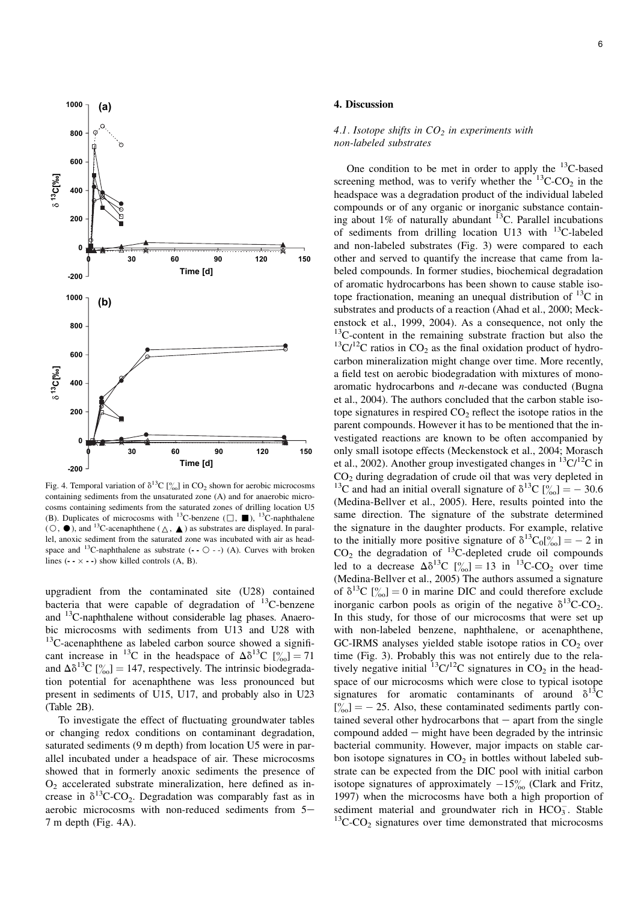

Fig. 4. Temporal variation of  $\delta^{13}C$  [%] in CO<sub>2</sub> shown for aerobic microcosms containing sediments from the unsaturated zone (A) and for anaerobic microcosms containing sediments from the saturated zones of drilling location U5 (B). Duplicates of microcosms with <sup>13</sup>C-benzene ( $\Box$ ,  $\blacksquare$ ), <sup>13</sup>C-naphthalene  $(\bigcirc, \bigcirc)$ , and <sup>13</sup>C-acenaphthene  $(\bigtriangleup, \bigtriangleup)$  as substrates are displayed. In parallel, anoxic sediment from the saturated zone was incubated with air as headspace and <sup>13</sup>C-naphthalene as substrate  $(-\circ$   $\circ$   $-)$   $(A)$ . Curves with broken lines  $(- \times -)$  show killed controls  $(A, B)$ .

upgradient from the contaminated site (U28) contained bacteria that were capable of degradation of  $^{13}$ C-benzene and 13C-naphthalene without considerable lag phases. Anaerobic microcosms with sediments from U13 and U28 with <sup>13</sup>C-acenaphthene as labeled carbon source showed a significant increase in <sup>13</sup>C in the headspace of  $\Delta \delta^{13}C$  [% | 71 and  $\Delta\delta^{13}C$  [% | = 147, respectively. The intrinsic biodegradation potential for acenaphthene was less pronounced but present in sediments of U15, U17, and probably also in U23 (Table 2B).

To investigate the effect of fluctuating groundwater tables or changing redox conditions on contaminant degradation, saturated sediments (9 m depth) from location U5 were in parallel incubated under a headspace of air. These microcosms showed that in formerly anoxic sediments the presence of  $O<sub>2</sub>$  accelerated substrate mineralization, here defined as increase in  $\delta^{13}$ C-CO<sub>2</sub>. Degradation was comparably fast as in aerobic microcosms with non-reduced sediments from  $5-$ 7 m depth (Fig. 4A).

### 4. Discussion

### 4.1. Isotope shifts in  $CO<sub>2</sub>$  in experiments with non-labeled substrates

One condition to be met in order to apply the  $^{13}$ C-based screening method, was to verify whether the  $13^{\circ}$ C-CO<sub>2</sub> in the headspace was a degradation product of the individual labeled compounds or of any organic or inorganic substance containing about  $1\%$  of naturally abundant  $13C$ . Parallel incubations of sediments from drilling location U13 with 13C-labeled and non-labeled substrates (Fig. 3) were compared to each other and served to quantify the increase that came from labeled compounds. In former studies, biochemical degradation of aromatic hydrocarbons has been shown to cause stable isotope fractionation, meaning an unequal distribution of  $^{13}C$  in substrates and products of a reaction (Ahad et al., 2000; Meckenstock et al., 1999, 2004). As a consequence, not only the <sup>13</sup>C-content in the remaining substrate fraction but also the  $13^{\circ}$ C/<sup>12</sup>C ratios in CO<sub>2</sub> as the final oxidation product of hydrocarbon mineralization might change over time. More recently, a field test on aerobic biodegradation with mixtures of monoaromatic hydrocarbons and n-decane was conducted (Bugna et al., 2004). The authors concluded that the carbon stable isotope signatures in respired  $CO<sub>2</sub>$  reflect the isotope ratios in the parent compounds. However it has to be mentioned that the investigated reactions are known to be often accompanied by only small isotope effects (Meckenstock et al., 2004; Morasch et al., 2002). Another group investigated changes in  ${}^{13}C/{}^{12}C$  in  $CO<sub>2</sub>$  during degradation of crude oil that was very depleted in <sup>13</sup>C and had an initial overall signature of  $\delta^{13}C$  [%  $\mid \frac{6}{100} = -30.6$ (Medina-Bellver et al., 2005). Here, results pointed into the same direction. The signature of the substrate determined the signature in the daughter products. For example, relative to the initially more positive signature of  $\delta^{13}C_0[\%] = -2$  in  $CO<sub>2</sub>$  the degradation of  $^{13}$ C-depleted crude oil compounds led to a decrease  $\Delta \delta^{13}C$  [% | = 13 in <sup>13</sup>C-CO<sub>2</sub> over time (Medina-Bellver et al., 2005) The authors assumed a signature of  $\delta^{13}C$  [% | = 0 in marine DIC and could therefore exclude inorganic carbon pools as origin of the negative  $\delta^{13}C\text{-}CO_2$ . In this study, for those of our microcosms that were set up with non-labeled benzene, naphthalene, or acenaphthene,  $GC$ -IRMS analyses yielded stable isotope ratios in  $CO<sub>2</sub>$  over time (Fig. 3). Probably this was not entirely due to the relatively negative initial  ${}^{13}C/{}^{12}C$  signatures in  $CO<sub>2</sub>$  in the headspace of our microcosms which were close to typical isotope signatures for aromatic contaminants of around  $\delta^{13}C$  $[\%]_{00}$  = - 25. Also, these contaminated sediments partly contained several other hydrocarbons that  $-$  apart from the single compound added  $-$  might have been degraded by the intrinsic bacterial community. However, major impacts on stable carbon isotope signatures in  $CO<sub>2</sub>$  in bottles without labeled substrate can be expected from the DIC pool with initial carbon isotope signatures of approximately  $-15\%$  (Clark and Fritz, 1997) when the microcosms have both a high proportion of sediment material and groundwater rich in  $HCO_3^-$ . Stable  $13$ C-CO<sub>2</sub> signatures over time demonstrated that microcosms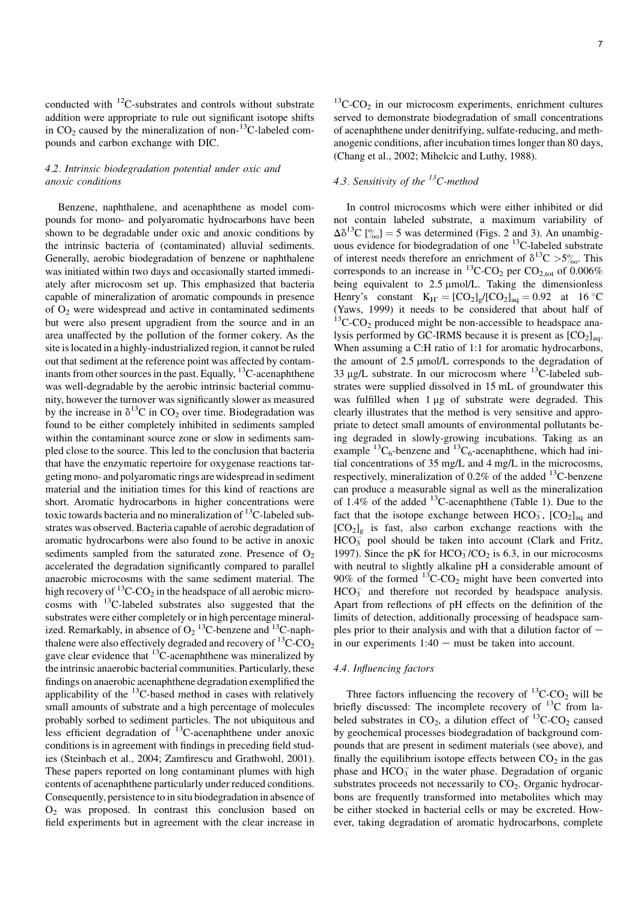conducted with 12C-substrates and controls without substrate addition were appropriate to rule out significant isotope shifts in  $CO<sub>2</sub>$  caused by the mineralization of non-<sup>13</sup>C-labeled compounds and carbon exchange with DIC.

### 4.2. Intrinsic biodegradation potential under oxic and anoxic conditions

Benzene, naphthalene, and acenaphthene as model compounds for mono- and polyaromatic hydrocarbons have been shown to be degradable under oxic and anoxic conditions by the intrinsic bacteria of (contaminated) alluvial sediments. Generally, aerobic biodegradation of benzene or naphthalene was initiated within two days and occasionally started immediately after microcosm set up. This emphasized that bacteria capable of mineralization of aromatic compounds in presence of  $O<sub>2</sub>$  were widespread and active in contaminated sediments but were also present upgradient from the source and in an area unaffected by the pollution of the former cokery. As the site islocated in a highly-industrialized region, it cannot be ruled out that sediment at the reference point was affected by contaminants from other sources in the past. Equally, <sup>13</sup>C-acenaphthene was well-degradable by the aerobic intrinsic bacterial community, however the turnover was significantly slower as measured by the increase in  $\delta^{13}$ C in CO<sub>2</sub> over time. Biodegradation was found to be either completely inhibited in sediments sampled within the contaminant source zone or slow in sediments sampled close to the source. This led to the conclusion that bacteria that have the enzymatic repertoire for oxygenase reactions targeting mono- and polyaromatic rings arewidespread in sediment material and the initiation times for this kind of reactions are short. Aromatic hydrocarbons in higher concentrations were toxic towards bacteria and no mineralization of <sup>13</sup>C-labeled substrates was observed. Bacteria capable of aerobic degradation of aromatic hydrocarbons were also found to be active in anoxic sediments sampled from the saturated zone. Presence of  $O<sub>2</sub>$ accelerated the degradation significantly compared to parallel anaerobic microcosms with the same sediment material. The high recovery of  $^{13}$ C-CO<sub>2</sub> in the headspace of all aerobic microcosms with 13C-labeled substrates also suggested that the substrates were either completely or in high percentage mineralized. Remarkably, in absence of  $O_2$  <sup>13</sup>C-benzene and <sup>13</sup>C-naphthalene were also effectively degraded and recovery of  ${}^{13}C$ -CO<sub>2</sub> gave clear evidence that  $^{13}$ C-acenaphthene was mineralized by the intrinsic anaerobic bacterial communities. Particularly, these findings on anaerobic acenaphthene degradation exemplified the applicability of the  $^{13}$ C-based method in cases with relatively small amounts of substrate and a high percentage of molecules probably sorbed to sediment particles. The not ubiquitous and less efficient degradation of <sup>13</sup>C-acenaphthene under anoxic conditions is in agreement with findings in preceding field studies (Steinbach et al., 2004; Zamfirescu and Grathwohl, 2001). These papers reported on long contaminant plumes with high contents of acenaphthene particularly under reduced conditions. Consequently, persistence to in situ biodegradation in absence of O2 was proposed. In contrast this conclusion based on field experiments but in agreement with the clear increase in  $13^{\circ}$ C-CO<sub>2</sub> in our microcosm experiments, enrichment cultures served to demonstrate biodegradation of small concentrations of acenaphthene under denitrifying, sulfate-reducing, and methanogenic conditions, after incubation times longer than 80 days, (Chang et al., 2002; Mihelcic and Luthy, 1988).

## 4.3. Sensitivity of the  $^{13}$ C-method

In control microcosms which were either inhibited or did not contain labeled substrate, a maximum variability of  $\Delta\delta^{13}C$  [% | = 5 was determined (Figs. 2 and 3). An unambiguous evidence for biodegradation of one <sup>13</sup>C-labeled substrate of interest needs therefore an enrichment of  $\delta^{13}C > 5\%$ . This corresponds to an increase in  $^{13}$ C-CO<sub>2</sub> per CO<sub>2,tot</sub> of 0.006% being equivalent to 2.5 µmol/L. Taking the dimensionless Henry's constant  $K_{H'} = [CO_2]_g/[CO_2]_{aq} = 0.92$  at 16 °C (Yaws, 1999) it needs to be considered that about half of  $13$ C-CO<sub>2</sub> produced might be non-accessible to headspace analysis performed by GC-IRMS because it is present as  $[CO<sub>2</sub>]_{aa}$ . When assuming a C:H ratio of 1:1 for aromatic hydrocarbons, the amount of  $2.5 \mu mol/L$  corresponds to the degradation of 33  $\mu$ g/L substrate. In our microcosm where <sup>13</sup>C-labeled substrates were supplied dissolved in 15 mL of groundwater this was fulfilled when  $1 \mu$ g of substrate were degraded. This clearly illustrates that the method is very sensitive and appropriate to detect small amounts of environmental pollutants being degraded in slowly-growing incubations. Taking as an example  ${}^{13}C_6$ -benzene and  ${}^{13}C_6$ -acenaphthene, which had initial concentrations of 35 mg/L and 4 mg/L in the microcosms, respectively, mineralization of  $0.2\%$  of the added  $^{13}$ C-benzene can produce a measurable signal as well as the mineralization of  $1.4\%$  of the added <sup>13</sup>C-acenaphthene (Table 1). Due to the fact that the isotope exchange between  $HCO_3^-$ ,  $[CO_2]_{aq}$  and  $[CO<sub>2</sub>]<sub>g</sub>$  is fast, also carbon exchange reactions with the  $HCO<sub>3</sub><sup>-</sup>$  pool should be taken into account (Clark and Fritz, 1997). Since the pK for  $HCO_3^-/CO_2$  is 6.3, in our microcosms with neutral to slightly alkaline pH a considerable amount of 90% of the formed  ${}^{13}C$ -CO<sub>2</sub> might have been converted into  $HCO<sub>3</sub><sup>-</sup>$  and therefore not recorded by headspace analysis. Apart from reflections of pH effects on the definition of the limits of detection, additionally processing of headspace samples prior to their analysis and with that a dilution factor of  $$ in our experiments  $1:40$  – must be taken into account.

### 4.4. Influencing factors

Three factors influencing the recovery of  ${}^{13}$ C-CO<sub>2</sub> will be briefly discussed: The incomplete recovery of  $^{13}$ C from labeled substrates in  $CO_2$ , a dilution effect of <sup>13</sup>C-CO<sub>2</sub> caused by geochemical processes biodegradation of background compounds that are present in sediment materials (see above), and finally the equilibrium isotope effects between  $CO<sub>2</sub>$  in the gas phase and  $HCO_3^-$  in the water phase. Degradation of organic substrates proceeds not necessarily to  $CO<sub>2</sub>$ . Organic hydrocarbons are frequently transformed into metabolites which may be either stocked in bacterial cells or may be excreted. However, taking degradation of aromatic hydrocarbons, complete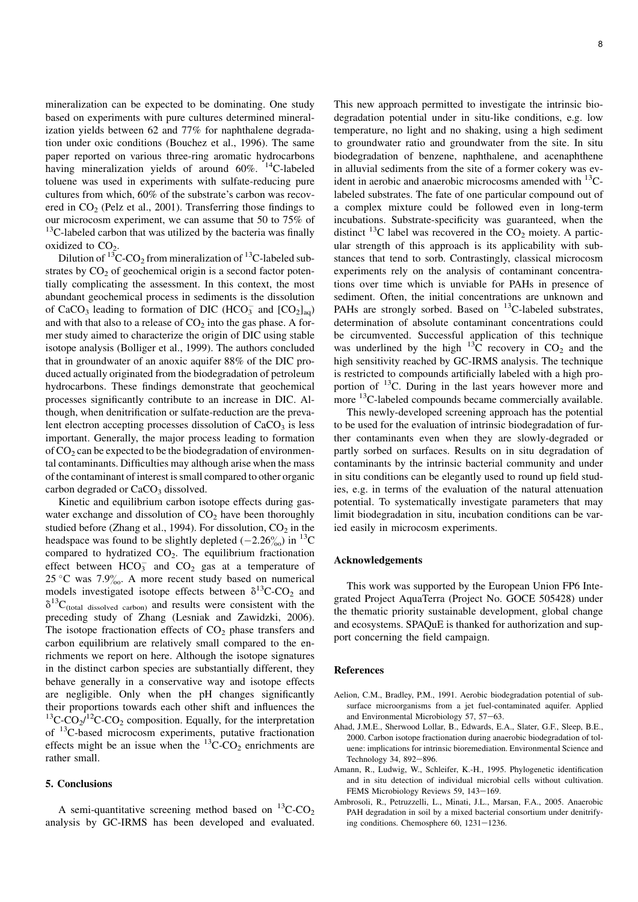mineralization can be expected to be dominating. One study based on experiments with pure cultures determined mineralization yields between 62 and 77% for naphthalene degradation under oxic conditions (Bouchez et al., 1996). The same paper reported on various three-ring aromatic hydrocarbons having mineralization yields of around 60%. <sup>14</sup>C-labeled toluene was used in experiments with sulfate-reducing pure cultures from which, 60% of the substrate's carbon was recovered in  $CO<sub>2</sub>$  (Pelz et al., 2001). Transferring those findings to our microcosm experiment, we can assume that 50 to 75% of  $13C$ -labeled carbon that was utilized by the bacteria was finally oxidized to  $CO<sub>2</sub>$ .

Dilution of  $^{13}$ C-CO<sub>2</sub> from mineralization of  $^{13}$ C-labeled substrates by  $CO<sub>2</sub>$  of geochemical origin is a second factor potentially complicating the assessment. In this context, the most abundant geochemical process in sediments is the dissolution of CaCO<sub>3</sub> leading to formation of DIC (HCO<sub>3</sub> and  $[CO<sub>2</sub>]_{aq}$ ) and with that also to a release of  $CO<sub>2</sub>$  into the gas phase. A former study aimed to characterize the origin of DIC using stable isotope analysis (Bolliger et al., 1999). The authors concluded that in groundwater of an anoxic aquifer 88% of the DIC produced actually originated from the biodegradation of petroleum hydrocarbons. These findings demonstrate that geochemical processes significantly contribute to an increase in DIC. Although, when denitrification or sulfate-reduction are the prevalent electron accepting processes dissolution of  $CaCO<sub>3</sub>$  is less important. Generally, the major process leading to formation of  $CO<sub>2</sub>$  can be expected to be the biodegradation of environmental contaminants. Difficulties may although arise when the mass of the contaminant of interest is small compared to other organic carbon degraded or CaCO<sub>3</sub> dissolved.

Kinetic and equilibrium carbon isotope effects during gaswater exchange and dissolution of  $CO<sub>2</sub>$  have been thoroughly studied before (Zhang et al., 1994). For dissolution,  $CO<sub>2</sub>$  in the headspace was found to be slightly depleted  $(-2.26\%)$  in <sup>13</sup>C compared to hydratized  $CO<sub>2</sub>$ . The equilibrium fractionation effect between  $HCO_3^-$  and  $CO_2$  gas at a temperature of 25 °C was 7.9 $\frac{90}{10}$ . A more recent study based on numerical models investigated isotope effects between  $\delta^{13}$ C-CO<sub>2</sub> and  $\delta^{13}C_{\text{(total dissolved carbon)}}$  and results were consistent with the preceding study of Zhang (Lesniak and Zawidzki, 2006). The isotope fractionation effects of  $CO<sub>2</sub>$  phase transfers and carbon equilibrium are relatively small compared to the enrichments we report on here. Although the isotope signatures in the distinct carbon species are substantially different, they behave generally in a conservative way and isotope effects are negligible. Only when the pH changes significantly their proportions towards each other shift and influences the <sup>13</sup>C-CO<sub>2</sub>/<sup>12</sup>C-CO<sub>2</sub> composition. Equally, for the interpretation of 13C-based microcosm experiments, putative fractionation effects might be an issue when the  $^{13}$ C-CO<sub>2</sub> enrichments are rather small.

### 5. Conclusions

A semi-quantitative screening method based on  ${}^{13}$ C-CO<sub>2</sub> analysis by GC-IRMS has been developed and evaluated. This new approach permitted to investigate the intrinsic biodegradation potential under in situ-like conditions, e.g. low temperature, no light and no shaking, using a high sediment to groundwater ratio and groundwater from the site. In situ biodegradation of benzene, naphthalene, and acenaphthene in alluvial sediments from the site of a former cokery was evident in aerobic and anaerobic microcosms amended with  $^{13}$ Clabeled substrates. The fate of one particular compound out of a complex mixture could be followed even in long-term incubations. Substrate-specificity was guaranteed, when the distinct <sup>13</sup>C label was recovered in the  $CO<sub>2</sub>$  moiety. A particular strength of this approach is its applicability with substances that tend to sorb. Contrastingly, classical microcosm experiments rely on the analysis of contaminant concentrations over time which is unviable for PAHs in presence of sediment. Often, the initial concentrations are unknown and PAHs are strongly sorbed. Based on <sup>13</sup>C-labeled substrates, determination of absolute contaminant concentrations could be circumvented. Successful application of this technique was underlined by the high  $^{13}C$  recovery in  $CO<sub>2</sub>$  and the high sensitivity reached by GC-IRMS analysis. The technique is restricted to compounds artificially labeled with a high proportion of <sup>13</sup>C. During in the last years however more and more <sup>13</sup>C-labeled compounds became commercially available.

This newly-developed screening approach has the potential to be used for the evaluation of intrinsic biodegradation of further contaminants even when they are slowly-degraded or partly sorbed on surfaces. Results on in situ degradation of contaminants by the intrinsic bacterial community and under in situ conditions can be elegantly used to round up field studies, e.g. in terms of the evaluation of the natural attenuation potential. To systematically investigate parameters that may limit biodegradation in situ, incubation conditions can be varied easily in microcosm experiments.

### Acknowledgements

This work was supported by the European Union FP6 Integrated Project AquaTerra (Project No. GOCE 505428) under the thematic priority sustainable development, global change and ecosystems. SPAQuE is thanked for authorization and support concerning the field campaign.

### References

- Aelion, C.M., Bradley, P.M., 1991. Aerobic biodegradation potential of subsurface microorganisms from a jet fuel-contaminated aquifer. Applied and Environmental Microbiology 57, 57-63.
- Ahad, J.M.E., Sherwood Lollar, B., Edwards, E.A., Slater, G.F., Sleep, B.E., 2000. Carbon isotope fractionation during anaerobic biodegradation of toluene: implications for intrinsic bioremediation. Environmental Science and Technology 34, 892-896.
- Amann, R., Ludwig, W., Schleifer, K.-H., 1995. Phylogenetic identification and in situ detection of individual microbial cells without cultivation. FEMS Microbiology Reviews 59, 143-169.
- Ambrosoli, R., Petruzzelli, L., Minati, J.L., Marsan, F.A., 2005. Anaerobic PAH degradation in soil by a mixed bacterial consortium under denitrifying conditions. Chemosphere  $60$ ,  $1231-1236$ .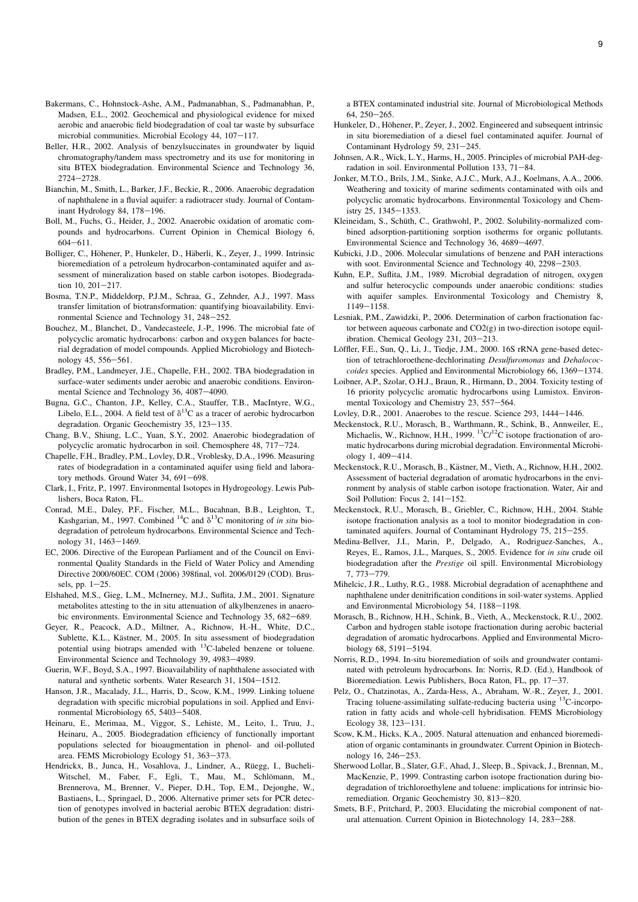- Bakermans, C., Hohnstock-Ashe, A.M., Padmanabhan, S., Padmanabhan, P., Madsen, E.L., 2002. Geochemical and physiological evidence for mixed aerobic and anaerobic field biodegradation of coal tar waste by subsurface microbial communities. Microbial Ecology 44, 107-117.
- Beller, H.R., 2002. Analysis of benzylsuccinates in groundwater by liquid chromatography/tandem mass spectrometry and its use for monitoring in situ BTEX biodegradation. Environmental Science and Technology 36, 2724-2728
- Bianchin, M., Smith, L., Barker, J.F., Beckie, R., 2006. Anaerobic degradation of naphthalene in a fluvial aquifer: a radiotracer study. Journal of Contaminant Hydrology 84,  $178-196$ .
- Boll, M., Fuchs, G., Heider, J., 2002. Anaerobic oxidation of aromatic compounds and hydrocarbons. Current Opinion in Chemical Biology 6,  $604 - 611.$
- Bolliger, C., Höhener, P., Hunkeler, D., Häberli, K., Zeyer, J., 1999. Intrinsic bioremediation of a petroleum hydrocarbon-contaminated aquifer and assessment of mineralization based on stable carbon isotopes. Biodegradation  $10.201 - 217$ .
- Bosma, T.N.P., Middeldorp, P.J.M., Schraa, G., Zehnder, A.J., 1997. Mass transfer limitation of biotransformation: quantifying bioavailability. Environmental Science and Technology 31, 248-252.
- Bouchez, M., Blanchet, D., Vandecasteele, J.-P., 1996. The microbial fate of polycyclic aromatic hydrocarbons: carbon and oxygen balances for bacterial degradation of model compounds. Applied Microbiology and Biotechnology  $45, 556 - 561$ .
- Bradley, P.M., Landmeyer, J.E., Chapelle, F.H., 2002. TBA biodegradation in surface-water sediments under aerobic and anaerobic conditions. Environmental Science and Technology 36, 4087-4090.
- Bugna, G.C., Chanton, J.P., Kelley, C.A., Stauffer, T.B., MacIntyre, W.G., Libelo, E.L., 2004. A field test of  $\delta^{13}C$  as a tracer of aerobic hydrocarbon degradation. Organic Geochemistry 35, 123-135.
- Chang, B.V., Shiung, L.C., Yuan, S.Y., 2002. Anaerobic biodegradation of polycyclic aromatic hydrocarbon in soil. Chemosphere 48, 717-724.
- Chapelle, F.H., Bradley, P.M., Lovley, D.R., Vroblesky, D.A., 1996. Measuring rates of biodegradation in a contaminated aquifer using field and laboratory methods. Ground Water  $34, 691-698$ .
- Clark, I., Fritz, P., 1997. Environmental Isotopes in Hydrogeology. Lewis Publishers, Boca Raton, FL.
- Conrad, M.E., Daley, P.F., Fischer, M.L., Bucahnan, B.B., Leighton, T., Kashgarian, M., 1997. Combined <sup>14</sup>C and  $\delta$ <sup>13</sup>C monitoring of *in situ* biodegradation of petroleum hydrocarbons. Environmental Science and Technology 31, 1463-1469.
- EC, 2006. Directive of the European Parliament and of the Council on Environmental Quality Standards in the Field of Water Policy and Amending Directive 2000/60EC. COM (2006) 398final, vol. 2006/0129 (COD). Brussels, pp.  $1-25$ .
- Elshahed, M.S., Gieg, L.M., McInerney, M.J., Suflita, J.M., 2001. Signature metabolites attesting to the in situ attenuation of alkylbenzenes in anaerobic environments. Environmental Science and Technology 35, 682–689.
- Geyer, R., Peacock, A.D., Miltner, A., Richnow, H.-H., White, D.C., Sublette, K.L., Kästner, M., 2005. In situ assessment of biodegradation potential using biotraps amended with 13C-labeled benzene or toluene. Environmental Science and Technology 39, 4983-4989.
- Guerin, W.F., Boyd, S.A., 1997. Bioavailability of naphthalene associated with natural and synthetic sorbents. Water Research 31, 1504-1512.
- Hanson, J.R., Macalady, J.L., Harris, D., Scow, K.M., 1999. Linking toluene degradation with specific microbial populations in soil. Applied and Environmental Microbiology 65, 5403-5408.
- Heinaru, E., Merimaa, M., Viggor, S., Lehiste, M., Leito, I., Truu, J., Heinaru, A., 2005. Biodegradation efficiency of functionally important populations selected for bioaugmentation in phenol- and oil-polluted area. FEMS Microbiology Ecology 51, 363-373.
- Hendrickx, B., Junca, H., Vosahlova, J., Lindner, A., Rüegg, I., Bucheli-Witschel, M., Faber, F., Egli, T., Mau, M., Schlömann, M., Brennerova, M., Brenner, V., Pieper, D.H., Top, E.M., Dejonghe, W., Bastiaens, L., Springael, D., 2006. Alternative primer sets for PCR detection of genotypes involved in bacterial aerobic BTEX degradation: distribution of the genes in BTEX degrading isolates and in subsurface soils of

a BTEX contaminated industrial site. Journal of Microbiological Methods  $64, 250 - 265.$ 

- Hunkeler, D., Höhener, P., Zeyer, J., 2002. Engineered and subsequent intrinsic in situ bioremediation of a diesel fuel contaminated aquifer. Journal of Contaminant Hydrology 59, 231-245.
- Johnsen, A.R., Wick, L.Y., Harms, H., 2005. Principles of microbial PAH-degradation in soil. Environmental Pollution 133, 71-84.
- Jonker, M.T.O., Brils, J.M., Sinke, A.J.C., Murk, A.J., Koelmans, A.A., 2006. Weathering and toxicity of marine sediments contaminated with oils and polycyclic aromatic hydrocarbons. Environmental Toxicology and Chemistry 25, 1345-1353.
- Kleineidam, S., Schüth, C., Grathwohl, P., 2002. Solubility-normalized combined adsorption-partitioning sorption isotherms for organic pollutants. Environmental Science and Technology 36, 4689-4697.
- Kubicki, J.D., 2006. Molecular simulations of benzene and PAH interactions with soot. Environmental Science and Technology 40, 2298-2303.
- Kuhn, E.P., Suflita, J.M., 1989. Microbial degradation of nitrogen, oxygen and sulfur heterocyclic compounds under anaerobic conditions: studies with aquifer samples. Environmental Toxicology and Chemistry 8, 1149-1158.
- Lesniak, P.M., Zawidzki, P., 2006. Determination of carbon fractionation factor between aqueous carbonate and  $CO2(\sigma)$  in two-direction isotope equilibration. Chemical Geology 231, 203-213.
- Löffler, F.E., Sun, Q., Li, J., Tiedje, J.M., 2000. 16S rRNA gene-based detection of tetrachloroethene-dechlorinating Desulfuromonas and Dehalococ $coides$  species. Applied and Environmental Microbiology 66, 1369–1374.
- Loibner, A.P., Szolar, O.H.J., Braun, R., Hirmann, D., 2004. Toxicity testing of 16 priority polycyclic aromatic hydrocarbons using Lumistox. Environmental Toxicology and Chemistry 23, 557-564.
- Lovley, D.R., 2001. Anaerobes to the rescue. Science 293, 1444-1446.
- Meckenstock, R.U., Morasch, B., Warthmann, R., Schink, B., Annweiler, E., Michaelis, W., Richnow, H.H., 1999.  ${}^{13}C/{}^{12}C$  isotope fractionation of aromatic hydrocarbons during microbial degradation. Environmental Microbiology 1, 409-414.
- Meckenstock, R.U., Morasch, B., Kästner, M., Vieth, A., Richnow, H.H., 2002. Assessment of bacterial degradation of aromatic hydrocarbons in the environment by analysis of stable carbon isotope fractionation. Water, Air and Soil Pollution: Focus 2,  $141-152$ .
- Meckenstock, R.U., Morasch, B., Griebler, C., Richnow, H.H., 2004. Stable isotope fractionation analysis as a tool to monitor biodegradation in contaminated aquifers. Journal of Contaminant Hydrology  $75$ ,  $215-255$ .
- Medina-Bellver, J.I., Marin, P., Delgado, A., Rodriguez-Sanches, A., Reyes, E., Ramos, J.L., Marques, S., 2005. Evidence for in situ crude oil biodegradation after the Prestige oil spill. Environmental Microbiology 7, 773-779.
- Mihelcic, J.R., Luthy, R.G., 1988. Microbial degradation of acenaphthene and naphthalene under denitrification conditions in soil-water systems. Applied and Environmental Microbiology 54, 1188-1198.
- Morasch, B., Richnow, H.H., Schink, B., Vieth, A., Meckenstock, R.U., 2002. Carbon and hydrogen stable isotope fractionation during aerobic bacterial degradation of aromatic hydrocarbons. Applied and Environmental Microbiology 68, 5191-5194.
- Norris, R.D., 1994. In-situ bioremediation of soils and groundwater contaminated with petroleum hydrocarbons. In: Norris, R.D. (Ed.), Handbook of Bioremediation. Lewis Publishers, Boca Raton, FL, pp. 17-37.
- Pelz, O., Chatzinotas, A., Zarda-Hess, A., Abraham, W.-R., Zeyer, J., 2001. Tracing toluene-assimilating sulfate-reducing bacteria using 13C-incorporation in fatty acids and whole-cell hybridisation. FEMS Microbiology Ecology 38, 123-131.
- Scow, K.M., Hicks, K.A., 2005. Natural attenuation and enhanced bioremediation of organic contaminants in groundwater. Current Opinion in Biotechnology 16, 246-253.
- Sherwood Lollar, B., Slater, G.F., Ahad, J., Sleep, B., Spivack, J., Brennan, M., MacKenzie, P., 1999. Contrasting carbon isotope fractionation during biodegradation of trichloroethylene and toluene: implications for intrinsic bioremediation. Organic Geochemistry 30, 813-820.
- Smets, B.F., Pritchard, P., 2003. Elucidating the microbial component of natural attenuation. Current Opinion in Biotechnology 14, 283-288.